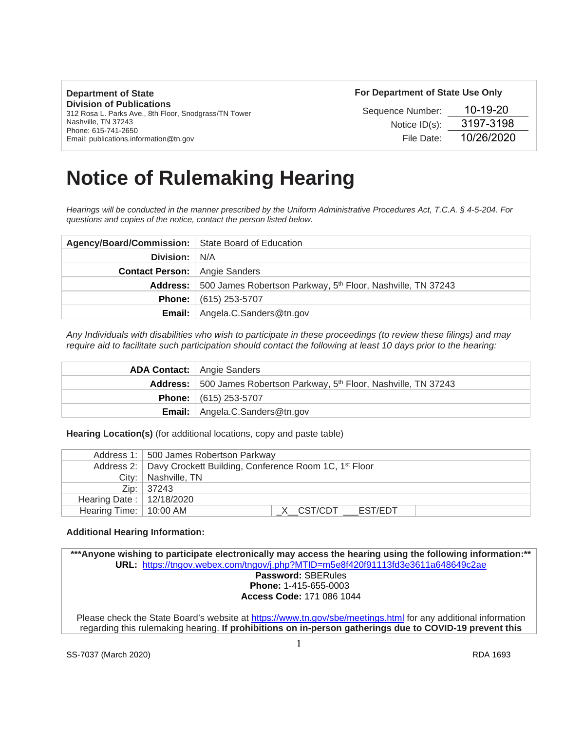| <b>Department of State</b>                                                               | For Department of State Use Only |            |
|------------------------------------------------------------------------------------------|----------------------------------|------------|
| <b>Division of Publications</b><br>312 Rosa L. Parks Ave., 8th Floor, Snodgrass/TN Tower | Sequence Number:                 | 10-19-20   |
| Nashville, TN 37243<br>Phone: 615-741-2650                                               | Notice $ID(s)$ :                 | 3197-3198  |
| Email: publications.information@tn.gov                                                   | File Date:                       | 10/26/2020 |

# **Notice of Rulemaking Hearing**

*Hearings will be conducted in the manner prescribed by the Uniform Administrative Procedures Act, T.C.A. § 4-5-204. For questions and copies of the notice, contact the person listed below.*

| Agency/Board/Commission:   State Board of Education |                                                                                  |
|-----------------------------------------------------|----------------------------------------------------------------------------------|
| <b>Division:</b> N/A                                |                                                                                  |
| <b>Contact Person:</b> Angie Sanders                |                                                                                  |
|                                                     | Address: 500 James Robertson Parkway, 5 <sup>th</sup> Floor, Nashville, TN 37243 |
|                                                     | <b>Phone:</b> $(615)$ 253-5707                                                   |
| Email: I                                            | Angela.C.Sanders@tn.gov                                                          |

*Any Individuals with disabilities who wish to participate in these proceedings (to review these filings) and may require aid to facilitate such participation should contact the following at least 10 days prior to the hearing:*

| <b>ADA Contact:</b>   Angie Sanders                                              |
|----------------------------------------------------------------------------------|
| Address: 500 James Robertson Parkway, 5 <sup>th</sup> Floor, Nashville, TN 37243 |
| <b>Phone:</b> $(615)$ 253-5707                                                   |
| <b>Email:</b> Angela.C.Sanders@tn.gov                                            |

**Hearing Location(s)** (for additional locations, copy and paste table)

|                                  | Address 1: 500 James Robertson Parkway                                         |
|----------------------------------|--------------------------------------------------------------------------------|
|                                  | Address 2:   Davy Crockett Building, Conference Room 1C, 1 <sup>st</sup> Floor |
|                                  | City:   Nashville, TN                                                          |
|                                  | Zip:   37243                                                                   |
| Hearing Date: $\vert$ 12/18/2020 |                                                                                |
| Hearing Time:   10:00 AM         | X CST/CDT EST/EDT                                                              |

#### **Additional Hearing Information:**

**\*\*\*Anyone wishing to participate electronically may access the hearing using the following information:\*\* URL:** <https://tngov.webex.com/tngov/j.php?MTID=m5e8f420f91113fd3e3611a648649c2ae> **Password:** SBERules **Phone:** 1-415-655-0003 **Access Code:** 171 086 1044 Please check the State Board's website at<https://www.tn.gov/sbe/meetings.html> for any additional information regarding this rulemaking hearing. **If prohibitions on in-person gatherings due to COVID-19 prevent this**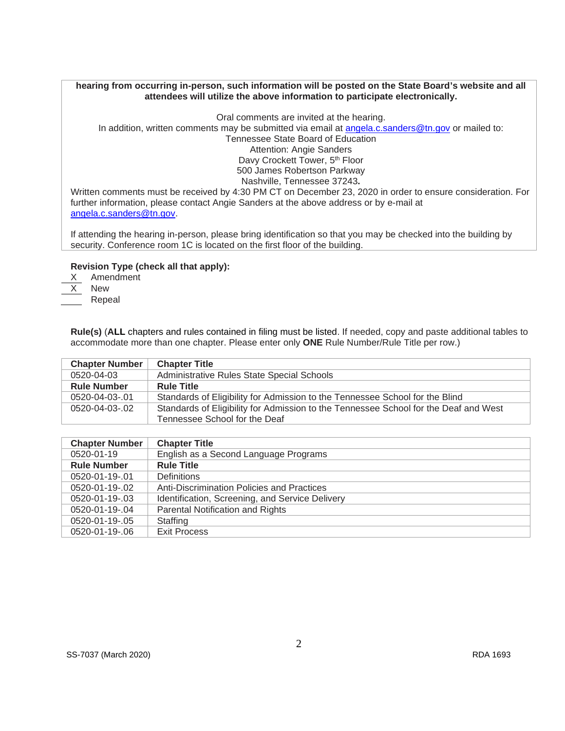## **hearing from occurring in-person, such information will be posted on the State Board's website and all attendees will utilize the above information to participate electronically.**

Oral comments are invited at the hearing. In addition, written comments may be submitted via email at [angela.c.sanders@tn.gov](mailto:angela.c.sanders@tn.gov) or mailed to: Tennessee State Board of Education Attention: Angie Sanders Davy Crockett Tower, 5<sup>th</sup> Floor 500 James Robertson Parkway Nashville, Tennessee 37243**.**

Written comments must be received by 4:30 PM CT on December 23, 2020 in order to ensure consideration. For further information, please contact Angie Sanders at the above address or by e-mail at [angela.c.sanders@tn.gov.](mailto:angela.c.sanders@tn.gov)

If attending the hearing in-person, please bring identification so that you may be checked into the building by security. Conference room 1C is located on the first floor of the building.

# **Revision Type (check all that apply):**

X Amendment X New Repeal

> **Rule(s)** (**ALL** chapters and rules contained in filing must be listed. If needed, copy and paste additional tables to accommodate more than one chapter. Please enter only **ONE** Rule Number/Rule Title per row.)

| <b>Chapter Number</b> | <b>Chapter Title</b>                                                                 |
|-----------------------|--------------------------------------------------------------------------------------|
| 0520-04-03            | Administrative Rules State Special Schools                                           |
| <b>Rule Number</b>    | <b>Rule Title</b>                                                                    |
| 0520-04-03-.01        | Standards of Eligibility for Admission to the Tennessee School for the Blind         |
| 0520-04-03-02         | Standards of Eligibility for Admission to the Tennessee School for the Deaf and West |
|                       | Tennessee School for the Deaf                                                        |

| <b>Chapter Number</b> | <b>Chapter Title</b>                            |
|-----------------------|-------------------------------------------------|
| 0520-01-19            | English as a Second Language Programs           |
| <b>Rule Number</b>    | <b>Rule Title</b>                               |
| 0520-01-19-.01        | <b>Definitions</b>                              |
| 0520-01-19-.02        | Anti-Discrimination Policies and Practices      |
| 0520-01-19-.03        | Identification, Screening, and Service Delivery |
| 0520-01-19-.04        | Parental Notification and Rights                |
| 0520-01-19-.05        | Staffing                                        |
| 0520-01-19-.06        | <b>Exit Process</b>                             |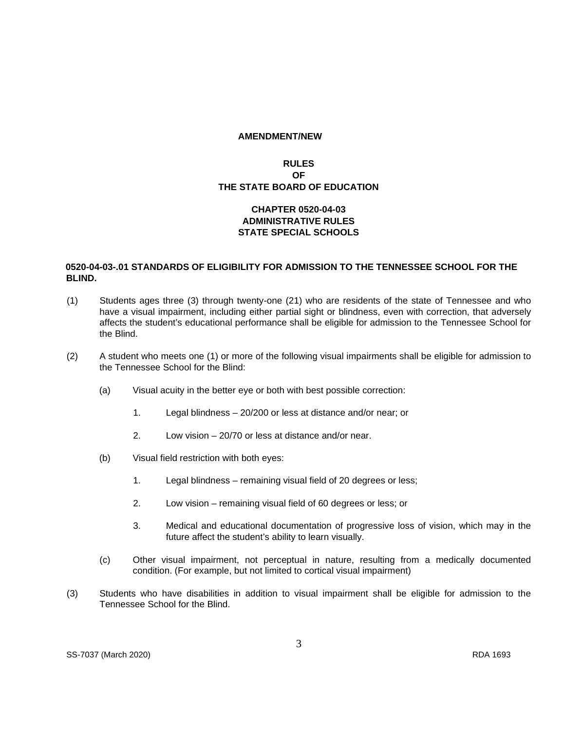#### **AMENDMENT/NEW**

# **RULES OF THE STATE BOARD OF EDUCATION**

# **CHAPTER 0520-04-03 ADMINISTRATIVE RULES STATE SPECIAL SCHOOLS**

# **0520-04-03-.01 STANDARDS OF ELIGIBILITY FOR ADMISSION TO THE TENNESSEE SCHOOL FOR THE BLIND.**

- (1) Students ages three (3) through twenty-one (21) who are residents of the state of Tennessee and who have a visual impairment, including either partial sight or blindness, even with correction, that adversely affects the student's educational performance shall be eligible for admission to the Tennessee School for the Blind.
- (2) A student who meets one (1) or more of the following visual impairments shall be eligible for admission to the Tennessee School for the Blind:
	- (a) Visual acuity in the better eye or both with best possible correction:
		- 1. Legal blindness 20/200 or less at distance and/or near; or
		- 2. Low vision 20/70 or less at distance and/or near.
	- (b) Visual field restriction with both eyes:
		- 1. Legal blindness remaining visual field of 20 degrees or less;
		- 2. Low vision remaining visual field of 60 degrees or less; or
		- 3. Medical and educational documentation of progressive loss of vision, which may in the future affect the student's ability to learn visually.
	- (c) Other visual impairment, not perceptual in nature, resulting from a medically documented condition. (For example, but not limited to cortical visual impairment)
- (3) Students who have disabilities in addition to visual impairment shall be eligible for admission to the Tennessee School for the Blind.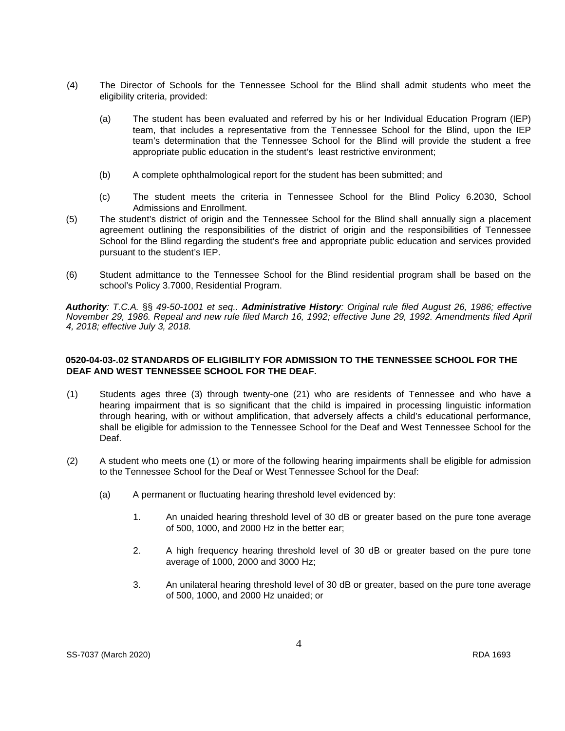- (4) The Director of Schools for the Tennessee School for the Blind shall admit students who meet the eligibility criteria, provided:
	- (a) The student has been evaluated and referred by his or her Individual Education Program (IEP) team, that includes a representative from the Tennessee School for the Blind, upon the IEP team's determination that the Tennessee School for the Blind will provide the student a free appropriate public education in the student's least restrictive environment;
	- (b) A complete ophthalmological report for the student has been submitted; and
	- (c) The student meets the criteria in Tennessee School for the Blind Policy 6.2030, School Admissions and Enrollment.
- (5) The student's district of origin and the Tennessee School for the Blind shall annually sign a placement agreement outlining the responsibilities of the district of origin and the responsibilities of Tennessee School for the Blind regarding the student's free and appropriate public education and services provided pursuant to the student's IEP.
- (6) Student admittance to the Tennessee School for the Blind residential program shall be based on the school's Policy 3.7000, Residential Program.

*Authority: T.C.A.* §§ *49-50-1001 et seq.. Administrative History: Original rule filed August 26, 1986; effective November 29, 1986. Repeal and new rule filed March 16, 1992; effective June 29, 1992. Amendments filed April 4, 2018; effective July 3, 2018.* 

## **0520-04-03-.02 STANDARDS OF ELIGIBILITY FOR ADMISSION TO THE TENNESSEE SCHOOL FOR THE DEAF AND WEST TENNESSEE SCHOOL FOR THE DEAF.**

- (1) Students ages three (3) through twenty-one (21) who are residents of Tennessee and who have a hearing impairment that is so significant that the child is impaired in processing linguistic information through hearing, with or without amplification, that adversely affects a child's educational performance, shall be eligible for admission to the Tennessee School for the Deaf and West Tennessee School for the Deaf.
- (2) A student who meets one (1) or more of the following hearing impairments shall be eligible for admission to the Tennessee School for the Deaf or West Tennessee School for the Deaf:
	- (a) A permanent or fluctuating hearing threshold level evidenced by:
		- 1. An unaided hearing threshold level of 30 dB or greater based on the pure tone average of 500, 1000, and 2000 Hz in the better ear;
		- 2. A high frequency hearing threshold level of 30 dB or greater based on the pure tone average of 1000, 2000 and 3000 Hz;
		- 3. An unilateral hearing threshold level of 30 dB or greater, based on the pure tone average of 500, 1000, and 2000 Hz unaided; or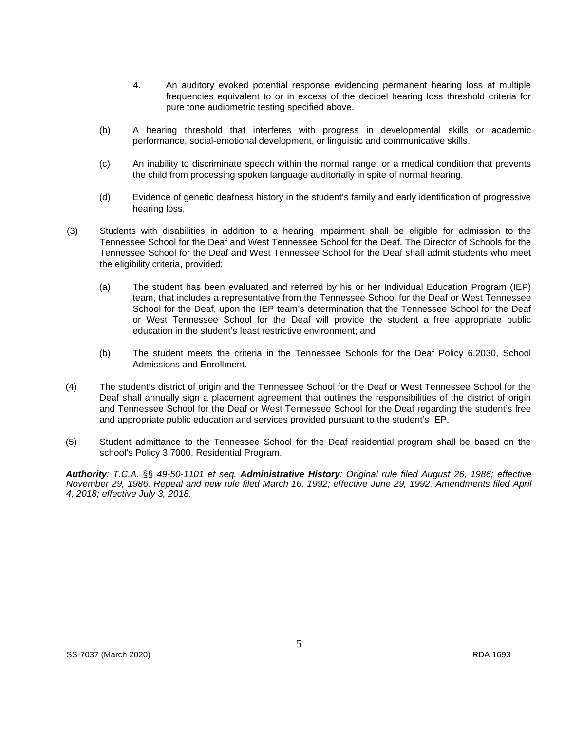- 4. An auditory evoked potential response evidencing permanent hearing loss at multiple frequencies equivalent to or in excess of the decibel hearing loss threshold criteria for pure tone audiometric testing specified above.
- (b) A hearing threshold that interferes with progress in developmental skills or academic performance, social-emotional development, or linguistic and communicative skills.
- (c) An inability to discriminate speech within the normal range, or a medical condition that prevents the child from processing spoken language auditorially in spite of normal hearing.
- (d) Evidence of genetic deafness history in the student's family and early identification of progressive hearing loss.
- (3) Students with disabilities in addition to a hearing impairment shall be eligible for admission to the Tennessee School for the Deaf and West Tennessee School for the Deaf. The Director of Schools for the Tennessee School for the Deaf and West Tennessee School for the Deaf shall admit students who meet the eligibility criteria, provided:
	- (a) The student has been evaluated and referred by his or her Individual Education Program (IEP) team, that includes a representative from the Tennessee School for the Deaf or West Tennessee School for the Deaf, upon the IEP team's determination that the Tennessee School for the Deaf or West Tennessee School for the Deaf will provide the student a free appropriate public education in the student's least restrictive environment; and
	- (b) The student meets the criteria in the Tennessee Schools for the Deaf Policy 6.2030, School Admissions and Enrollment.
- (4) The student's district of origin and the Tennessee School for the Deaf or West Tennessee School for the Deaf shall annually sign a placement agreement that outlines the responsibilities of the district of origin and Tennessee School for the Deaf or West Tennessee School for the Deaf regarding the student's free and appropriate public education and services provided pursuant to the student's IEP.
- (5) Student admittance to the Tennessee School for the Deaf residential program shall be based on the school's Policy 3.7000, Residential Program.

*Authority: T.C.A.* §§ *49-50-1101 et seq. Administrative History: Original rule filed August 26, 1986; effective November 29, 1986. Repeal and new rule filed March 16, 1992; effective June 29, 1992. Amendments filed April 4, 2018; effective July 3, 2018.*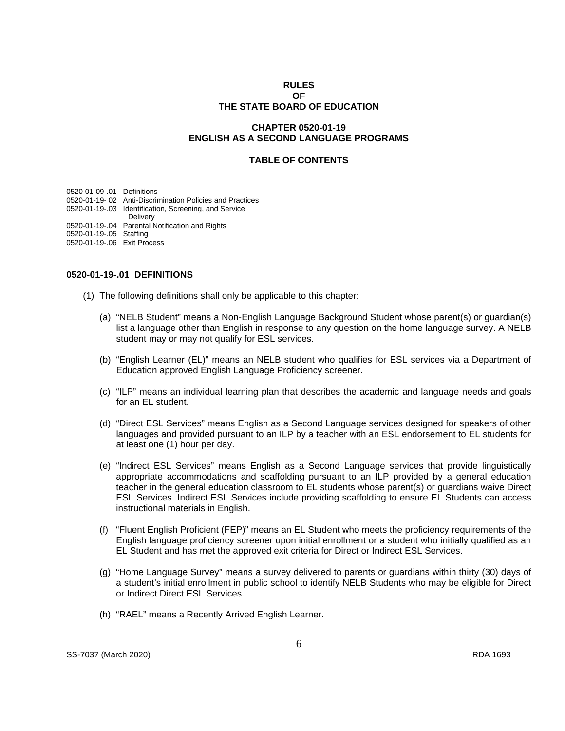#### **RULES OF THE STATE BOARD OF EDUCATION**

#### **CHAPTER 0520-01-19 ENGLISH AS A SECOND LANGUAGE PROGRAMS**

# **TABLE OF CONTENTS**

0520-01-09-.01 Definitions 0520-01-19- 02 Anti-Discrimination Policies and Practices 0520-01-19-.03 Identification, Screening, and Service Delivery

0520-01-19-.04 Parental Notification and Rights

- 0520-01-19-.05 Staffing
- 0520-01-19-.06 Exit Process

#### **0520-01-19-.01 DEFINITIONS**

- (1) The following definitions shall only be applicable to this chapter:
	- (a) "NELB Student" means a Non-English Language Background Student whose parent(s) or guardian(s) list a language other than English in response to any question on the home language survey. A NELB student may or may not qualify for ESL services.
	- (b) "English Learner (EL)" means an NELB student who qualifies for ESL services via a Department of Education approved English Language Proficiency screener.
	- (c) "ILP" means an individual learning plan that describes the academic and language needs and goals for an EL student.
	- (d) "Direct ESL Services" means English as a Second Language services designed for speakers of other languages and provided pursuant to an ILP by a teacher with an ESL endorsement to EL students for at least one (1) hour per day.
	- (e) "Indirect ESL Services" means English as a Second Language services that provide linguistically appropriate accommodations and scaffolding pursuant to an ILP provided by a general education teacher in the general education classroom to EL students whose parent(s) or guardians waive Direct ESL Services. Indirect ESL Services include providing scaffolding to ensure EL Students can access instructional materials in English.
	- (f) "Fluent English Proficient (FEP)" means an EL Student who meets the proficiency requirements of the English language proficiency screener upon initial enrollment or a student who initially qualified as an EL Student and has met the approved exit criteria for Direct or Indirect ESL Services.
	- (g) "Home Language Survey" means a survey delivered to parents or guardians within thirty (30) days of a student's initial enrollment in public school to identify NELB Students who may be eligible for Direct or Indirect Direct ESL Services.
	- (h) "RAEL" means a Recently Arrived English Learner.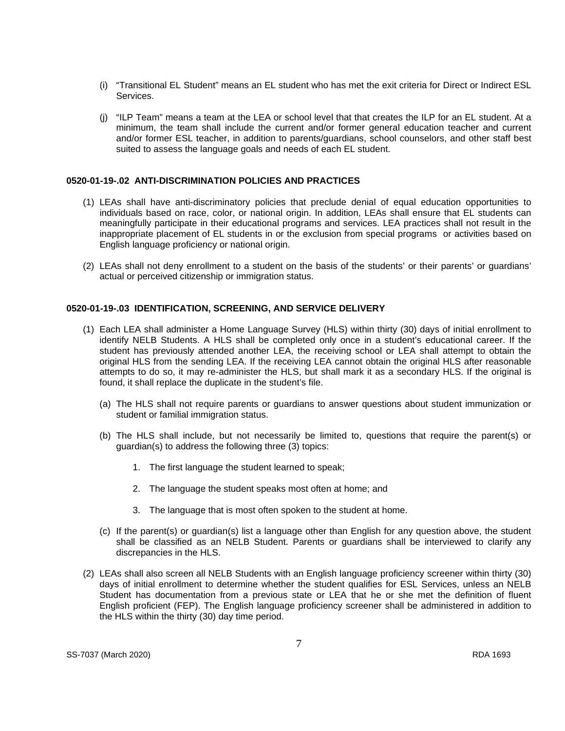- (i) "Transitional EL Student" means an EL student who has met the exit criteria for Direct or Indirect ESL Services.
- (j) "ILP Team" means a team at the LEA or school level that that creates the ILP for an EL student. At a minimum, the team shall include the current and/or former general education teacher and current and/or former ESL teacher, in addition to parents/guardians, school counselors, and other staff best suited to assess the language goals and needs of each EL student.

#### **0520-01-19-.02 ANTI-DISCRIMINATION POLICIES AND PRACTICES**

- (1) LEAs shall have anti-discriminatory policies that preclude denial of equal education opportunities to individuals based on race, color, or national origin. In addition, LEAs shall ensure that EL students can meaningfully participate in their educational programs and services. LEA practices shall not result in the inappropriate placement of EL students in or the exclusion from special programs or activities based on English language proficiency or national origin.
- (2) LEAs shall not deny enrollment to a student on the basis of the students' or their parents' or guardians' actual or perceived citizenship or immigration status.

#### **0520-01-19-.03 IDENTIFICATION, SCREENING, AND SERVICE DELIVERY**

- (1) Each LEA shall administer a Home Language Survey (HLS) within thirty (30) days of initial enrollment to identify NELB Students. A HLS shall be completed only once in a student's educational career. If the student has previously attended another LEA, the receiving school or LEA shall attempt to obtain the original HLS from the sending LEA. If the receiving LEA cannot obtain the original HLS after reasonable attempts to do so, it may re-administer the HLS, but shall mark it as a secondary HLS. If the original is found, it shall replace the duplicate in the student's file.
	- (a) The HLS shall not require parents or guardians to answer questions about student immunization or student or familial immigration status.
	- (b) The HLS shall include, but not necessarily be limited to, questions that require the parent(s) or guardian(s) to address the following three (3) topics:
		- 1. The first language the student learned to speak;
		- 2. The language the student speaks most often at home; and
		- 3. The language that is most often spoken to the student at home.
	- (c) If the parent(s) or guardian(s) list a language other than English for any question above, the student shall be classified as an NELB Student. Parents or guardians shall be interviewed to clarify any discrepancies in the HLS.
- (2) LEAs shall also screen all NELB Students with an English language proficiency screener within thirty (30) days of initial enrollment to determine whether the student qualifies for ESL Services, unless an NELB Student has documentation from a previous state or LEA that he or she met the definition of fluent English proficient (FEP). The English language proficiency screener shall be administered in addition to the HLS within the thirty (30) day time period.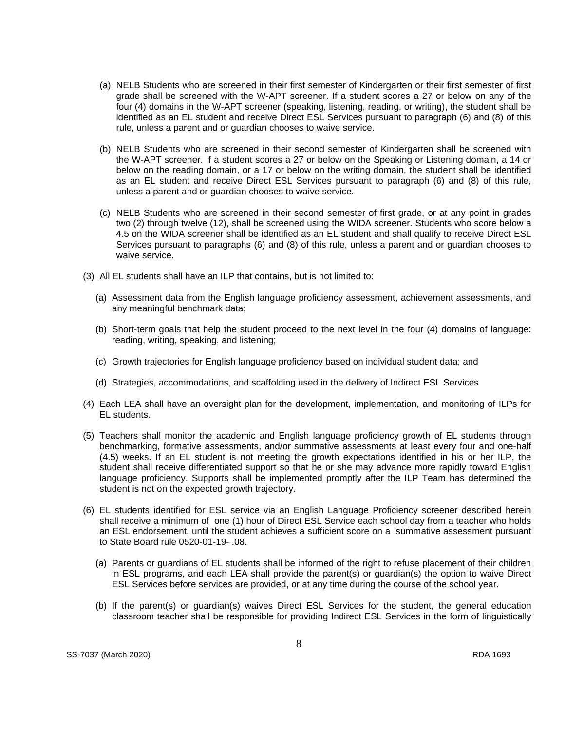- (a) NELB Students who are screened in their first semester of Kindergarten or their first semester of first grade shall be screened with the W-APT screener. If a student scores a 27 or below on any of the four (4) domains in the W-APT screener (speaking, listening, reading, or writing), the student shall be identified as an EL student and receive Direct ESL Services pursuant to paragraph (6) and (8) of this rule, unless a parent and or guardian chooses to waive service.
- (b) NELB Students who are screened in their second semester of Kindergarten shall be screened with the W-APT screener. If a student scores a 27 or below on the Speaking or Listening domain, a 14 or below on the reading domain, or a 17 or below on the writing domain, the student shall be identified as an EL student and receive Direct ESL Services pursuant to paragraph (6) and (8) of this rule, unless a parent and or guardian chooses to waive service.
- (c) NELB Students who are screened in their second semester of first grade, or at any point in grades two (2) through twelve (12), shall be screened using the WIDA screener. Students who score below a 4.5 on the WIDA screener shall be identified as an EL student and shall qualify to receive Direct ESL Services pursuant to paragraphs (6) and (8) of this rule, unless a parent and or guardian chooses to waive service.
- (3) All EL students shall have an ILP that contains, but is not limited to:
	- (a) Assessment data from the English language proficiency assessment, achievement assessments, and any meaningful benchmark data;
	- (b) Short-term goals that help the student proceed to the next level in the four (4) domains of language: reading, writing, speaking, and listening;
	- (c) Growth trajectories for English language proficiency based on individual student data; and
	- (d) Strategies, accommodations, and scaffolding used in the delivery of Indirect ESL Services
- (4) Each LEA shall have an oversight plan for the development, implementation, and monitoring of ILPs for EL students.
- (5) Teachers shall monitor the academic and English language proficiency growth of EL students through benchmarking, formative assessments, and/or summative assessments at least every four and one-half (4.5) weeks. If an EL student is not meeting the growth expectations identified in his or her ILP, the student shall receive differentiated support so that he or she may advance more rapidly toward English language proficiency. Supports shall be implemented promptly after the ILP Team has determined the student is not on the expected growth trajectory.
- (6) EL students identified for ESL service via an English Language Proficiency screener described herein shall receive a minimum of one (1) hour of Direct ESL Service each school day from a teacher who holds an ESL endorsement, until the student achieves a sufficient score on a summative assessment pursuant to State Board rule 0520-01-19- .08.
	- (a) Parents or guardians of EL students shall be informed of the right to refuse placement of their children in ESL programs, and each LEA shall provide the parent(s) or guardian(s) the option to waive Direct ESL Services before services are provided, or at any time during the course of the school year.
	- (b) If the parent(s) or guardian(s) waives Direct ESL Services for the student, the general education classroom teacher shall be responsible for providing Indirect ESL Services in the form of linguistically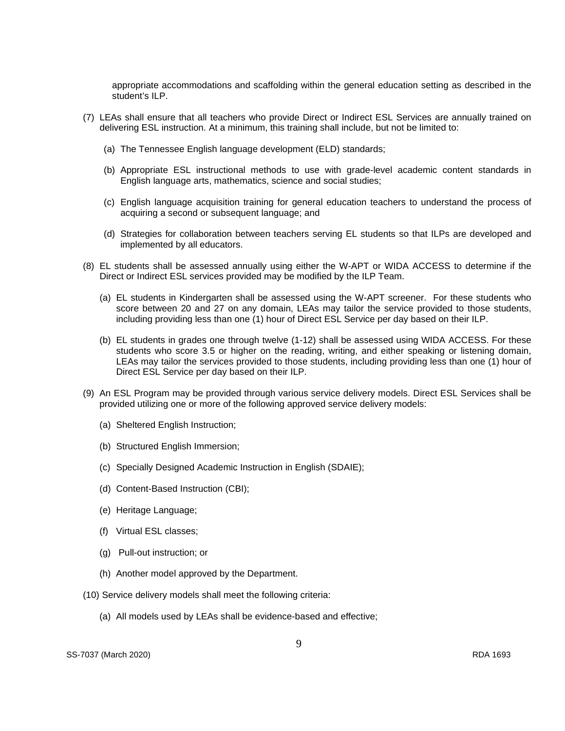appropriate accommodations and scaffolding within the general education setting as described in the student's ILP.

- (7) LEAs shall ensure that all teachers who provide Direct or Indirect ESL Services are annually trained on delivering ESL instruction. At a minimum, this training shall include, but not be limited to:
	- (a) The Tennessee English language development (ELD) standards;
	- (b) Appropriate ESL instructional methods to use with grade-level academic content standards in English language arts, mathematics, science and social studies;
	- (c) English language acquisition training for general education teachers to understand the process of acquiring a second or subsequent language; and
	- (d) Strategies for collaboration between teachers serving EL students so that ILPs are developed and implemented by all educators.
- (8) EL students shall be assessed annually using either the W-APT or WIDA ACCESS to determine if the Direct or Indirect ESL services provided may be modified by the ILP Team.
	- (a) EL students in Kindergarten shall be assessed using the W-APT screener. For these students who score between 20 and 27 on any domain, LEAs may tailor the service provided to those students, including providing less than one (1) hour of Direct ESL Service per day based on their ILP.
	- (b) EL students in grades one through twelve (1-12) shall be assessed using WIDA ACCESS. For these students who score 3.5 or higher on the reading, writing, and either speaking or listening domain, LEAs may tailor the services provided to those students, including providing less than one (1) hour of Direct ESL Service per day based on their ILP.
- (9) An ESL Program may be provided through various service delivery models. Direct ESL Services shall be provided utilizing one or more of the following approved service delivery models:
	- (a) Sheltered English Instruction;
	- (b) Structured English Immersion;
	- (c) Specially Designed Academic Instruction in English (SDAIE);
	- (d) Content-Based Instruction (CBI);
	- (e) Heritage Language;
	- (f) Virtual ESL classes;
	- (g) Pull-out instruction; or
	- (h) Another model approved by the Department.
- (10) Service delivery models shall meet the following criteria:
	- (a) All models used by LEAs shall be evidence-based and effective;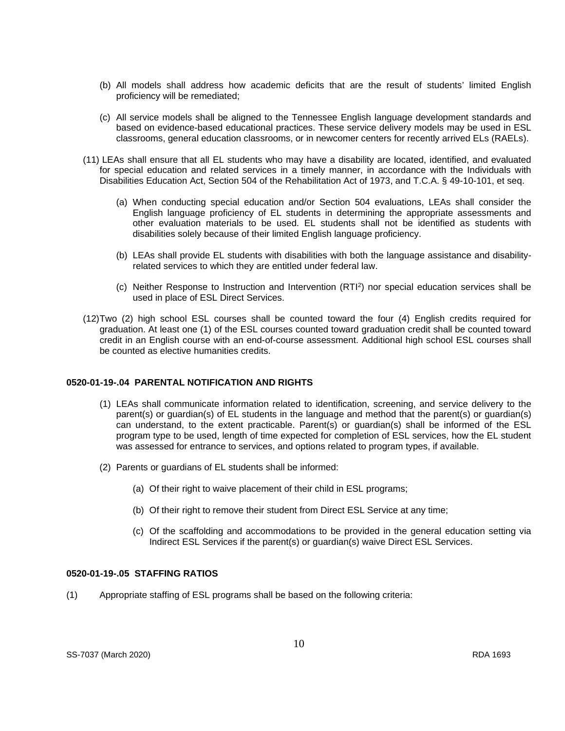- (b) All models shall address how academic deficits that are the result of students' limited English proficiency will be remediated;
- (c) All service models shall be aligned to the Tennessee English language development standards and based on evidence-based educational practices. These service delivery models may be used in ESL classrooms, general education classrooms, or in newcomer centers for recently arrived ELs (RAELs).
- (11) LEAs shall ensure that all EL students who may have a disability are located, identified, and evaluated for special education and related services in a timely manner, in accordance with the Individuals with Disabilities Education Act, Section 504 of the Rehabilitation Act of 1973, and T.C.A. § 49-10-101, et seq.
	- (a) When conducting special education and/or Section 504 evaluations, LEAs shall consider the English language proficiency of EL students in determining the appropriate assessments and other evaluation materials to be used. EL students shall not be identified as students with disabilities solely because of their limited English language proficiency.
	- (b) LEAs shall provide EL students with disabilities with both the language assistance and disabilityrelated services to which they are entitled under federal law.
	- (c) Neither Response to Instruction and Intervention (RTI2) nor special education services shall be used in place of ESL Direct Services.
- (12)Two (2) high school ESL courses shall be counted toward the four (4) English credits required for graduation. At least one (1) of the ESL courses counted toward graduation credit shall be counted toward credit in an English course with an end-of-course assessment. Additional high school ESL courses shall be counted as elective humanities credits.

# **0520-01-19-.04 PARENTAL NOTIFICATION AND RIGHTS**

- (1) LEAs shall communicate information related to identification, screening, and service delivery to the parent(s) or guardian(s) of EL students in the language and method that the parent(s) or guardian(s) can understand, to the extent practicable. Parent(s) or guardian(s) shall be informed of the ESL program type to be used, length of time expected for completion of ESL services, how the EL student was assessed for entrance to services, and options related to program types, if available.
- (2) Parents or guardians of EL students shall be informed:
	- (a) Of their right to waive placement of their child in ESL programs;
	- (b) Of their right to remove their student from Direct ESL Service at any time;
	- (c) Of the scaffolding and accommodations to be provided in the general education setting via Indirect ESL Services if the parent(s) or guardian(s) waive Direct ESL Services.

## **0520-01-19-.05 STAFFING RATIOS**

(1) Appropriate staffing of ESL programs shall be based on the following criteria: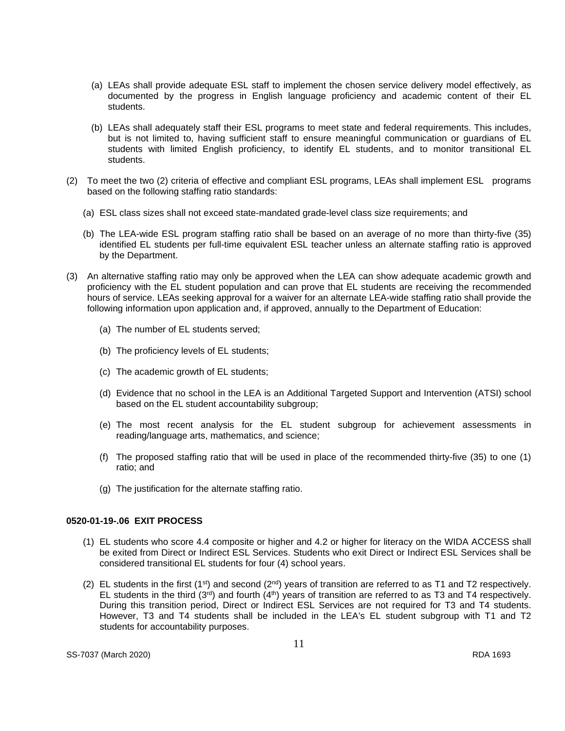- (a) LEAs shall provide adequate ESL staff to implement the chosen service delivery model effectively, as documented by the progress in English language proficiency and academic content of their EL students.
- (b) LEAs shall adequately staff their ESL programs to meet state and federal requirements. This includes, but is not limited to, having sufficient staff to ensure meaningful communication or guardians of EL students with limited English proficiency, to identify EL students, and to monitor transitional EL students.
- (2) To meet the two (2) criteria of effective and compliant ESL programs, LEAs shall implement ESL programs based on the following staffing ratio standards:
	- (a) ESL class sizes shall not exceed state-mandated grade-level class size requirements; and
	- (b) The LEA-wide ESL program staffing ratio shall be based on an average of no more than thirty-five (35) identified EL students per full-time equivalent ESL teacher unless an alternate staffing ratio is approved by the Department.
- (3) An alternative staffing ratio may only be approved when the LEA can show adequate academic growth and proficiency with the EL student population and can prove that EL students are receiving the recommended hours of service. LEAs seeking approval for a waiver for an alternate LEA-wide staffing ratio shall provide the following information upon application and, if approved, annually to the Department of Education:
	- (a) The number of EL students served;
	- (b) The proficiency levels of EL students;
	- (c) The academic growth of EL students;
	- (d) Evidence that no school in the LEA is an Additional Targeted Support and Intervention (ATSI) school based on the EL student accountability subgroup;
	- (e) The most recent analysis for the EL student subgroup for achievement assessments in reading/language arts, mathematics, and science;
	- (f) The proposed staffing ratio that will be used in place of the recommended thirty-five (35) to one (1) ratio; and
	- (g) The justification for the alternate staffing ratio.

#### **0520-01-19-.06 EXIT PROCESS**

- (1) EL students who score 4.4 composite or higher and 4.2 or higher for literacy on the WIDA ACCESS shall be exited from Direct or Indirect ESL Services. Students who exit Direct or Indirect ESL Services shall be considered transitional EL students for four (4) school years.
- (2) EL students in the first (1<sup>st</sup>) and second (2<sup>nd</sup>) years of transition are referred to as T1 and T2 respectively. EL students in the third  $(3<sup>rd</sup>)$  and fourth  $(4<sup>th</sup>)$  years of transition are referred to as T3 and T4 respectively. During this transition period, Direct or Indirect ESL Services are not required for T3 and T4 students. However, T3 and T4 students shall be included in the LEA's EL student subgroup with T1 and T2 students for accountability purposes.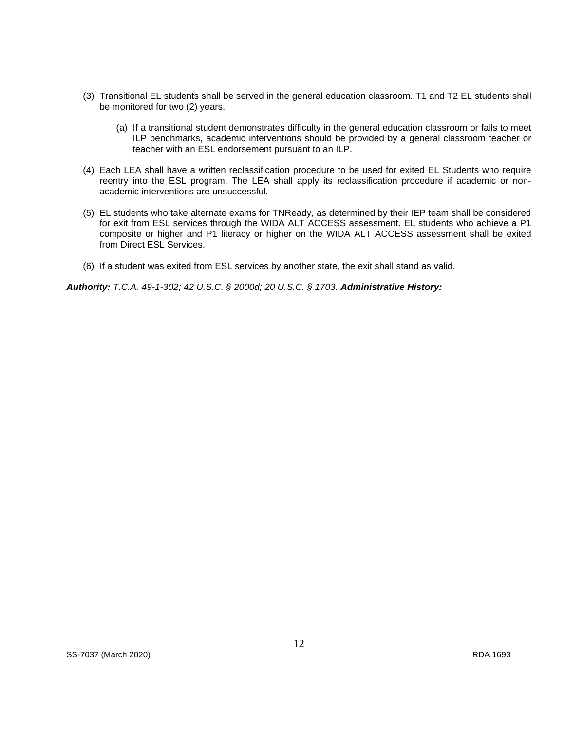- (3) Transitional EL students shall be served in the general education classroom. T1 and T2 EL students shall be monitored for two (2) years.
	- (a) If a transitional student demonstrates difficulty in the general education classroom or fails to meet ILP benchmarks, academic interventions should be provided by a general classroom teacher or teacher with an ESL endorsement pursuant to an ILP.
- (4) Each LEA shall have a written reclassification procedure to be used for exited EL Students who require reentry into the ESL program. The LEA shall apply its reclassification procedure if academic or nonacademic interventions are unsuccessful.
- (5) EL students who take alternate exams for TNReady, as determined by their IEP team shall be considered for exit from ESL services through the WIDA ALT ACCESS assessment. EL students who achieve a P1 composite or higher and P1 literacy or higher on the WIDA ALT ACCESS assessment shall be exited from Direct ESL Services.
- (6) If a student was exited from ESL services by another state, the exit shall stand as valid.

*Authority: T.C.A. 49-1-302; 42 U.S.C. § 2000d; 20 U.S.C. § 1703. Administrative History:*